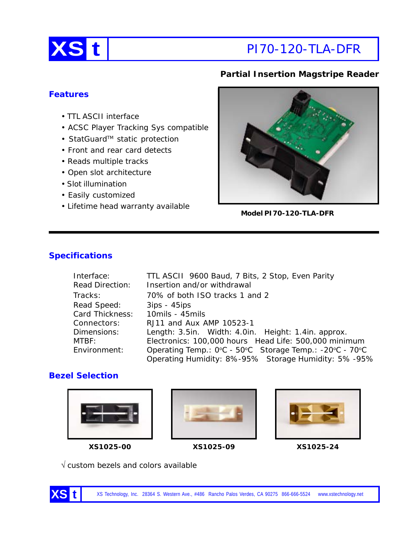

# **Partial Insertion Magstripe Reader**

### **Features**

- TTL ASCII interface
- ACSC Player Tracking Sys compatible
- StatGuard<sup>™</sup> static protection
- Front and rear card detects
- Reads multiple tracks
- Open slot architecture
- Slot illumination
- Easily customized
- Lifetime head warranty available



**Model PI70-120-TLA-DFR**

## **Specifications**

| Interface:             | TTL ASCII 9600 Baud, 7 Bits, 2 Stop, Even Parity        |  |
|------------------------|---------------------------------------------------------|--|
| <b>Read Direction:</b> | Insertion and/or withdrawal                             |  |
| Tracks:                | 70% of both ISO tracks 1 and 2                          |  |
| Read Speed:            | $3ips - 45ips$                                          |  |
| Card Thickness:        | 10mils - 45mils                                         |  |
| Connectors:            | RJ11 and Aux AMP 10523-1                                |  |
| Dimensions:            | Length: 3.5in. Width: 4.0in. Height: 1.4in. approx.     |  |
| MTBF:                  | Electronics: 100,000 hours Head Life: 500,000 minimum   |  |
| Environment:           | Operating Temp.: 0°C - 50°C Storage Temp.: -20°C - 70°C |  |
|                        | Operating Humidity: 8%-95% Storage Humidity: 5%-95%     |  |

#### **Bezel Selection**







**XS1025-00 XS1025-09 XS1025-24**

√ custom bezels and colors available